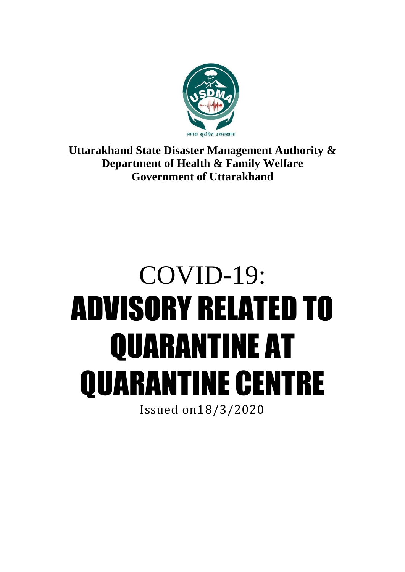

**Uttarakhand State Disaster Management Authority & Department of Health & Family Welfare Government of Uttarakhand**

# COVID-19: ADVISORY RELATED TO QUARANTINE AT QUARANTINE CENTRE Issued on18/3/2020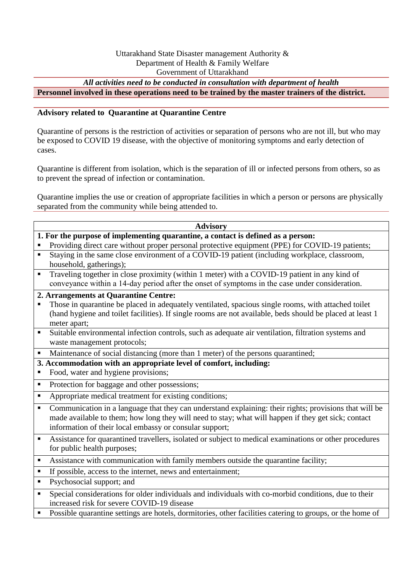#### Uttarakhand State Disaster management Authority & Department of Health & Family Welfare Government of Uttarakhand

*All activities need to be conducted in consultation with department of health*

**Personnel involved in these operations need to be trained by the master trainers of the district.**

#### **Advisory related to Quarantine at Quarantine Centre**

Quarantine of persons is the restriction of activities or separation of persons who are not ill, but who may be exposed to COVID 19 disease, with the objective of monitoring symptoms and early detection of cases.

Quarantine is different from isolation, which is the separation of ill or infected persons from others, so as to prevent the spread of infection or contamination.

Quarantine implies the use or creation of appropriate facilities in which a person or persons are physically separated from the community while being attended to.

#### **Advisory**

- **1. For the purpose of implementing quarantine, a contact is defined as a person:**
- Providing direct care without proper personal protective equipment (PPE) for COVID-19 patients; Staying in the same close environment of a COVID-19 patient (including workplace, classroom,
- household, gatherings);
- Traveling together in close proximity (within 1 meter) with a COVID-19 patient in any kind of conveyance within a 14‐day period after the onset of symptoms in the case under consideration.

# **2. Arrangements at Quarantine Centre:**

- Those in quarantine be placed in adequately ventilated, spacious single rooms, with attached toilet (hand hygiene and toilet facilities). If single rooms are not available, beds should be placed at least 1 meter apart;
- Suitable environmental infection controls, such as adequate air ventilation, filtration systems and waste management protocols;
- Maintenance of social distancing (more than 1 meter) of the persons quarantined;

#### **3. Accommodation with an appropriate level of comfort, including:**

- Food, water and hygiene provisions;
- Protection for baggage and other possessions;
- Appropriate medical treatment for existing conditions;
- Communication in a language that they can understand explaining: their rights; provisions that will be made available to them; how long they will need to stay; what will happen if they get sick; contact information of their local embassy or consular support;
- Assistance for quarantined travellers, isolated or subject to medical examinations or other procedures for public health purposes;
- Assistance with communication with family members outside the quarantine facility;
- If possible, access to the internet, news and entertainment;
- **Psychosocial support; and**
- Special considerations for older individuals and individuals with co-morbid conditions, due to their increased risk for severe COVID-19 disease
- Possible quarantine settings are hotels, dormitories, other facilities catering to groups, or the home of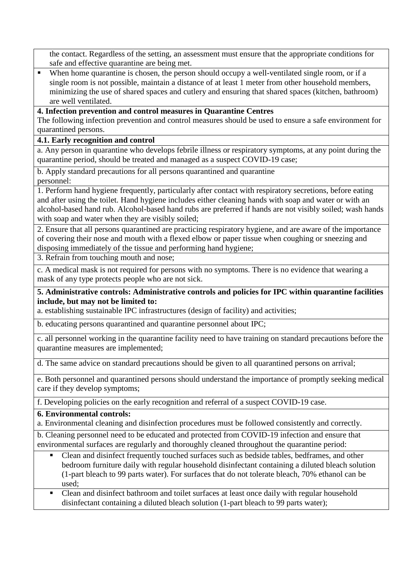the contact. Regardless of the setting, an assessment must ensure that the appropriate conditions for safe and effective quarantine are being met.

When home quarantine is chosen, the person should occupy a well-ventilated single room, or if a single room is not possible, maintain a distance of at least 1 meter from other household members, minimizing the use of shared spaces and cutlery and ensuring that shared spaces (kitchen, bathroom) are well ventilated.

# **4. Infection prevention and control measures in Quarantine Centres**

The following infection prevention and control measures should be used to ensure a safe environment for quarantined persons.

# **4.1. Early recognition and control**

a. Any person in quarantine who develops febrile illness or respiratory symptoms, at any point during the quarantine period, should be treated and managed as a suspect COVID-19 case;

b. Apply standard precautions for all persons quarantined and quarantine personnel:

1. Perform hand hygiene frequently, particularly after contact with respiratory secretions, before eating and after using the toilet. Hand hygiene includes either cleaning hands with soap and water or with an alcohol-based hand rub. Alcohol-based hand rubs are preferred if hands are not visibly soiled; wash hands with soap and water when they are visibly soiled;

2. Ensure that all persons quarantined are practicing respiratory hygiene, and are aware of the importance of covering their nose and mouth with a flexed elbow or paper tissue when coughing or sneezing and disposing immediately of the tissue and performing hand hygiene;

3. Refrain from touching mouth and nose;

c. A medical mask is not required for persons with no symptoms. There is no evidence that wearing a mask of any type protects people who are not sick.

# **5. Administrative controls: Administrative controls and policies for IPC within quarantine facilities include, but may not be limited to:**

a. establishing sustainable IPC infrastructures (design of facility) and activities;

b. educating persons quarantined and quarantine personnel about IPC;

c. all personnel working in the quarantine facility need to have training on standard precautions before the quarantine measures are implemented;

d. The same advice on standard precautions should be given to all quarantined persons on arrival;

e. Both personnel and quarantined persons should understand the importance of promptly seeking medical care if they develop symptoms;

f. Developing policies on the early recognition and referral of a suspect COVID-19 case.

#### **6. Environmental controls:**

a. Environmental cleaning and disinfection procedures must be followed consistently and correctly.

b. Cleaning personnel need to be educated and protected from COVID-19 infection and ensure that environmental surfaces are regularly and thoroughly cleaned throughout the quarantine period:

 Clean and disinfect frequently touched surfaces such as bedside tables, bedframes, and other bedroom furniture daily with regular household disinfectant containing a diluted bleach solution (1-part bleach to 99 parts water). For surfaces that do not tolerate bleach, 70% ethanol can be used;

• Clean and disinfect bathroom and toilet surfaces at least once daily with regular household disinfectant containing a diluted bleach solution (1-part bleach to 99 parts water);